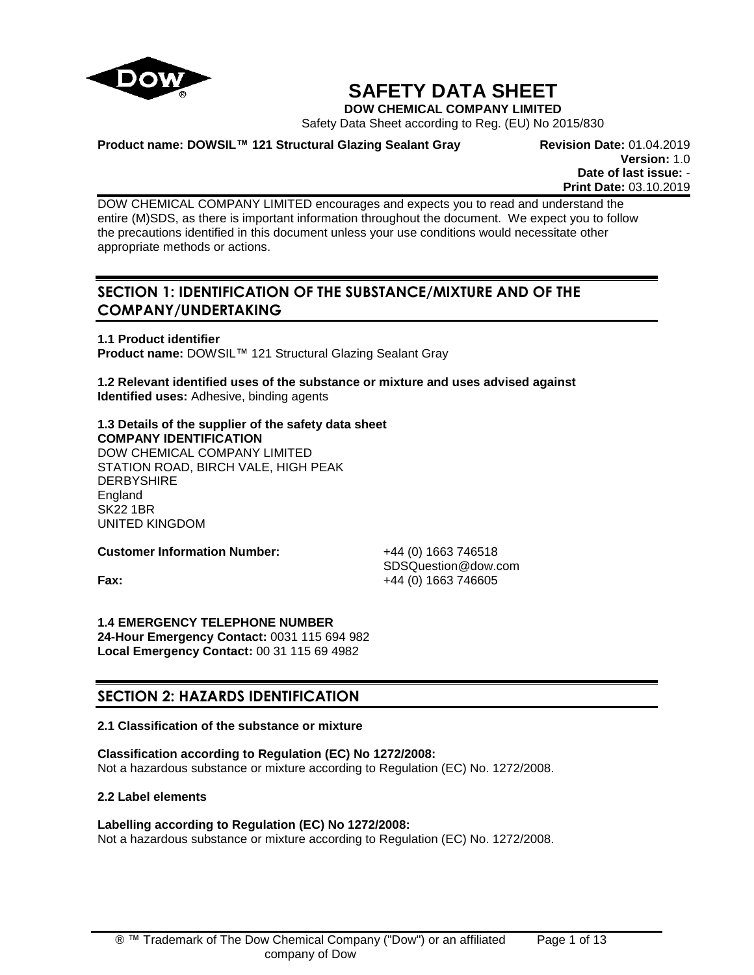

# **SAFETY DATA SHEET**

**DOW CHEMICAL COMPANY LIMITED**

Safety Data Sheet according to Reg. (EU) No 2015/830

**Product name: DOWSIL™ 121 Structural Glazing Sealant Gray Revision Date:** 01.04.2019

**Version:** 1.0 **Date of last issue:** - **Print Date:** 03.10.2019

DOW CHEMICAL COMPANY LIMITED encourages and expects you to read and understand the entire (M)SDS, as there is important information throughout the document. We expect you to follow the precautions identified in this document unless your use conditions would necessitate other appropriate methods or actions.

# **SECTION 1: IDENTIFICATION OF THE SUBSTANCE/MIXTURE AND OF THE COMPANY/UNDERTAKING**

**1.1 Product identifier Product name:** DOWSIL™ 121 Structural Glazing Sealant Gray

**1.2 Relevant identified uses of the substance or mixture and uses advised against Identified uses:** Adhesive, binding agents

**1.3 Details of the supplier of the safety data sheet COMPANY IDENTIFICATION** DOW CHEMICAL COMPANY LIMITED STATION ROAD, BIRCH VALE, HIGH PEAK **DERBYSHIRE** England SK22 1BR

**Customer Information Number:** +44 (0) 1663 746518

UNITED KINGDOM

SDSQuestion@dow.com **Fax:**  $+44 (0) 1663 746605$ 

**1.4 EMERGENCY TELEPHONE NUMBER 24-Hour Emergency Contact:** 0031 115 694 982 **Local Emergency Contact:** 00 31 115 69 4982

# **SECTION 2: HAZARDS IDENTIFICATION**

# **2.1 Classification of the substance or mixture**

**Classification according to Regulation (EC) No 1272/2008:** Not a hazardous substance or mixture according to Regulation (EC) No. 1272/2008.

**2.2 Label elements**

# **Labelling according to Regulation (EC) No 1272/2008:**

Not a hazardous substance or mixture according to Regulation (EC) No. 1272/2008.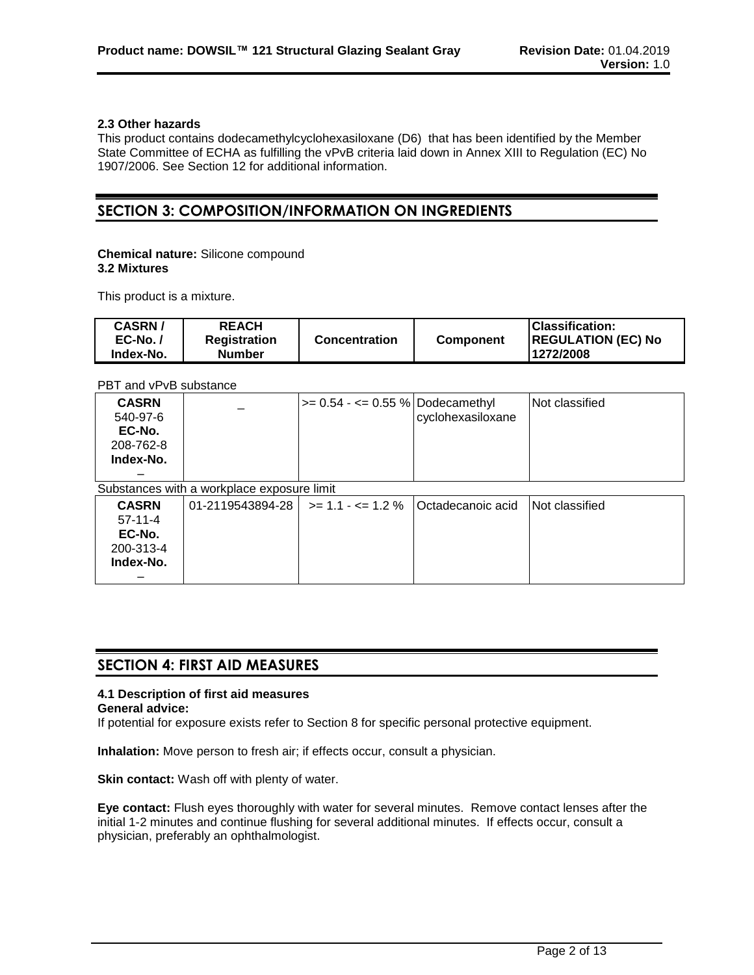### **2.3 Other hazards**

This product contains dodecamethylcyclohexasiloxane (D6) that has been identified by the Member State Committee of ECHA as fulfilling the vPvB criteria laid down in Annex XIII to Regulation (EC) No 1907/2006. See Section 12 for additional information.

# **SECTION 3: COMPOSITION/INFORMATION ON INGREDIENTS**

#### **Chemical nature:** Silicone compound **3.2 Mixtures**

This product is a mixture.

| <b>CASRN/</b><br>$EC-No.$<br>Index-No. | <b>REACH</b><br><b>Registration</b><br><b>Number</b> | <b>Concentration</b> | <b>Component</b> | <b>IClassification:</b><br><b>REGULATION (EC) No</b><br>1272/2008 |
|----------------------------------------|------------------------------------------------------|----------------------|------------------|-------------------------------------------------------------------|
|                                        |                                                      |                      |                  |                                                                   |

PBT and vPvB substance

| <b>CASRN</b><br>540-97-6<br>EC-No.<br>208-762-8<br>Index-No.  |                                            | $>= 0.54 - \le 0.55$ % Dodecamethyl | cyclohexasiloxane  | Not classified |
|---------------------------------------------------------------|--------------------------------------------|-------------------------------------|--------------------|----------------|
|                                                               | Substances with a workplace exposure limit |                                     |                    |                |
| <b>CASRN</b><br>$57-11-4$<br>EC-No.<br>200-313-4<br>Index-No. | 01-2119543894-28                           | $\ge$ = 1.1 - $\le$ = 1.2 %         | lOctadecanoic acid | Not classified |

# **SECTION 4: FIRST AID MEASURES**

# **4.1 Description of first aid measures**

**General advice:**

If potential for exposure exists refer to Section 8 for specific personal protective equipment.

**Inhalation:** Move person to fresh air; if effects occur, consult a physician.

**Skin contact:** Wash off with plenty of water.

**Eye contact:** Flush eyes thoroughly with water for several minutes. Remove contact lenses after the initial 1-2 minutes and continue flushing for several additional minutes. If effects occur, consult a physician, preferably an ophthalmologist.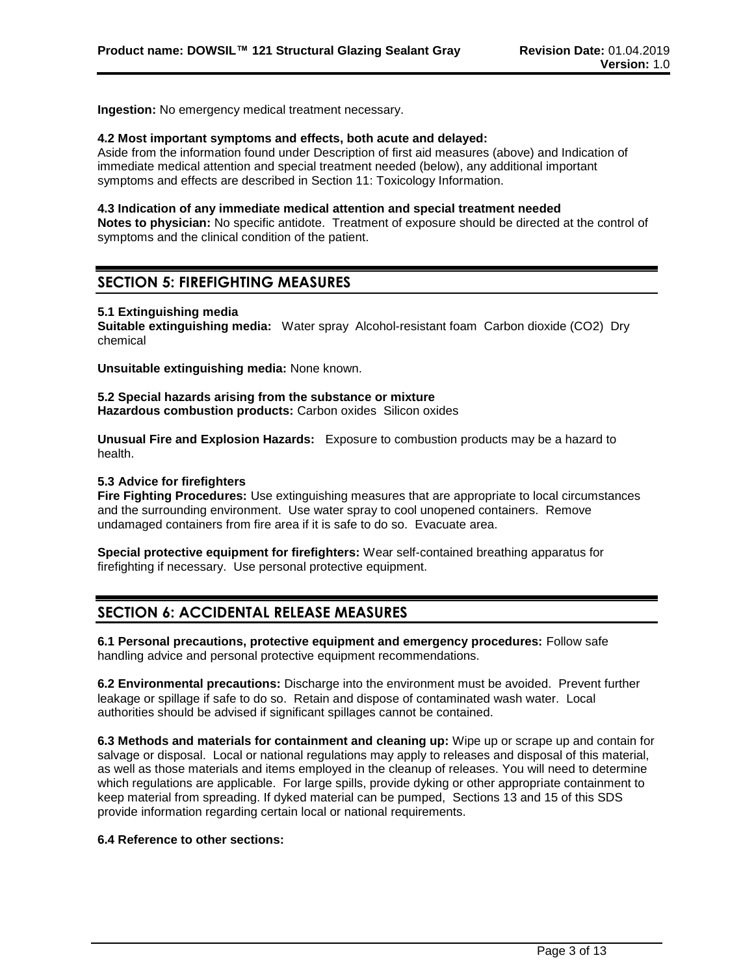**Ingestion:** No emergency medical treatment necessary.

#### **4.2 Most important symptoms and effects, both acute and delayed:**

Aside from the information found under Description of first aid measures (above) and Indication of immediate medical attention and special treatment needed (below), any additional important symptoms and effects are described in Section 11: Toxicology Information.

#### **4.3 Indication of any immediate medical attention and special treatment needed**

**Notes to physician:** No specific antidote. Treatment of exposure should be directed at the control of symptoms and the clinical condition of the patient.

# **SECTION 5: FIREFIGHTING MEASURES**

#### **5.1 Extinguishing media**

**Suitable extinguishing media:** Water spray Alcohol-resistant foam Carbon dioxide (CO2) Dry chemical

**Unsuitable extinguishing media:** None known.

**5.2 Special hazards arising from the substance or mixture Hazardous combustion products:** Carbon oxides Silicon oxides

**Unusual Fire and Explosion Hazards:** Exposure to combustion products may be a hazard to health.

#### **5.3 Advice for firefighters**

**Fire Fighting Procedures:** Use extinguishing measures that are appropriate to local circumstances and the surrounding environment. Use water spray to cool unopened containers. Remove undamaged containers from fire area if it is safe to do so. Evacuate area.

**Special protective equipment for firefighters:** Wear self-contained breathing apparatus for firefighting if necessary. Use personal protective equipment.

# **SECTION 6: ACCIDENTAL RELEASE MEASURES**

**6.1 Personal precautions, protective equipment and emergency procedures:** Follow safe handling advice and personal protective equipment recommendations.

**6.2 Environmental precautions:** Discharge into the environment must be avoided. Prevent further leakage or spillage if safe to do so. Retain and dispose of contaminated wash water. Local authorities should be advised if significant spillages cannot be contained.

**6.3 Methods and materials for containment and cleaning up:** Wipe up or scrape up and contain for salvage or disposal. Local or national regulations may apply to releases and disposal of this material, as well as those materials and items employed in the cleanup of releases. You will need to determine which regulations are applicable. For large spills, provide dyking or other appropriate containment to keep material from spreading. If dyked material can be pumped, Sections 13 and 15 of this SDS provide information regarding certain local or national requirements.

### **6.4 Reference to other sections:**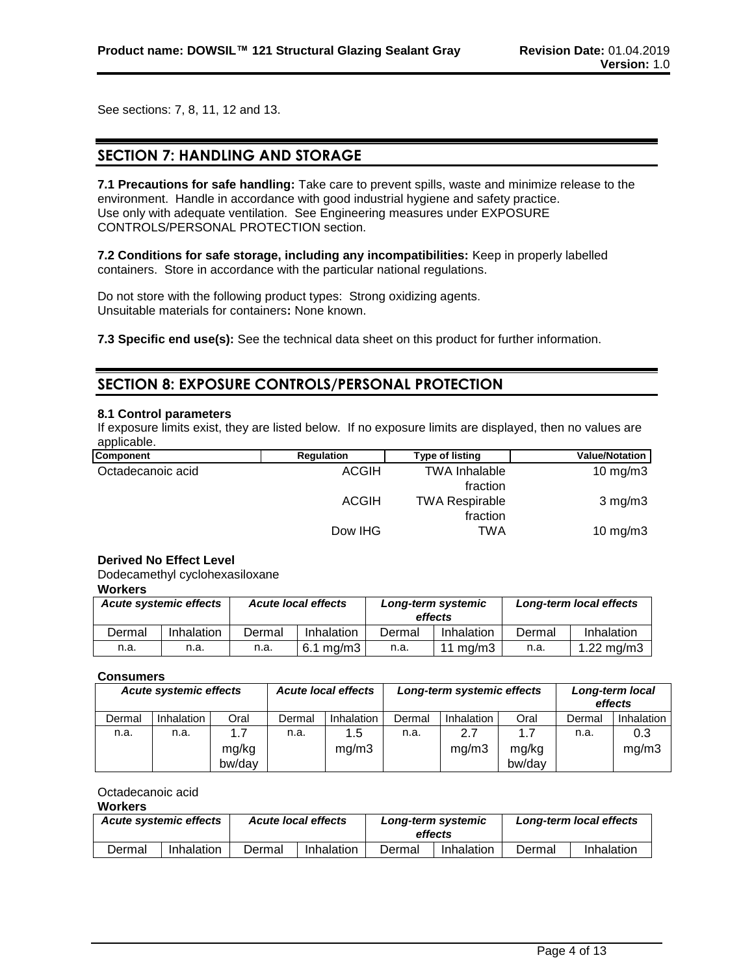See sections: 7, 8, 11, 12 and 13.

# **SECTION 7: HANDLING AND STORAGE**

**7.1 Precautions for safe handling:** Take care to prevent spills, waste and minimize release to the environment. Handle in accordance with good industrial hygiene and safety practice. Use only with adequate ventilation. See Engineering measures under EXPOSURE CONTROLS/PERSONAL PROTECTION section.

**7.2 Conditions for safe storage, including any incompatibilities:** Keep in properly labelled containers. Store in accordance with the particular national regulations.

Do not store with the following product types: Strong oxidizing agents. Unsuitable materials for containers**:** None known.

**7.3 Specific end use(s):** See the technical data sheet on this product for further information.

# **SECTION 8: EXPOSURE CONTROLS/PERSONAL PROTECTION**

#### **8.1 Control parameters**

If exposure limits exist, they are listed below. If no exposure limits are displayed, then no values are applicable.

| <b>Component</b>  | <b>Regulation</b> | Type of listing       | Value/Notation      |
|-------------------|-------------------|-----------------------|---------------------|
| Octadecanoic acid | <b>ACGIH</b>      | <b>TWA Inhalable</b>  | $10 \text{ mg/m}$ 3 |
|                   |                   | fraction              |                     |
|                   | <b>ACGIH</b>      | <b>TWA Respirable</b> | $3$ mg/m $3$        |
|                   |                   | fraction              |                     |
|                   | Dow IHG           | TWA                   | 10 mg/m $3$         |

#### **Derived No Effect Level**

Dodecamethyl cyclohexasiloxane

### **Workers**

| <b>Acute systemic effects</b> |            | <b>Acute local effects</b> |            | Long-term systemic<br>effects |            | Long-term local effects |               |
|-------------------------------|------------|----------------------------|------------|-------------------------------|------------|-------------------------|---------------|
| Dermal                        | Inhalation | Dermal                     | Inhalation | Dermal                        | Inhalation | Dermal                  | Inhalation    |
| n.a.                          | n.a.       | n.a.                       | 6.1 ma/m3  | n.a.                          | 11 ma/m3   | n.a.                    | 1.22 mg/m $3$ |

#### **Consumers**

| <b>Acute systemic effects</b> |            | <b>Acute local effects</b> |        | Long-term systemic effects |        |            | Long-term local<br>effects |        |            |
|-------------------------------|------------|----------------------------|--------|----------------------------|--------|------------|----------------------------|--------|------------|
| Dermal                        | Inhalation | Oral                       | Dermal | Inhalation                 | Dermal | Inhalation | Oral                       | Dermal | Inhalation |
| n.a.                          | n.a.       | 1.7                        | n.a.   | 1.5                        | n.a.   | 2.7        | 1.7                        | n.a.   | 0.3        |
|                               |            | mg/kg                      |        | mg/m3                      |        | mg/m3      | mg/kg                      |        | mq/m3      |
|                               |            | bw/day                     |        |                            |        |            | bw/day                     |        |            |

### Octadecanoic acid

#### **Workers**

| <b>Acute systemic effects</b> |            |        | <b>Acute local effects</b> | Long-term systemic<br>effects |            | Long-term local effects |            |
|-------------------------------|------------|--------|----------------------------|-------------------------------|------------|-------------------------|------------|
| Dermal                        | Inhalation | Dermal | Inhalation                 | Dermal                        | Inhalation | Dermal                  | Inhalation |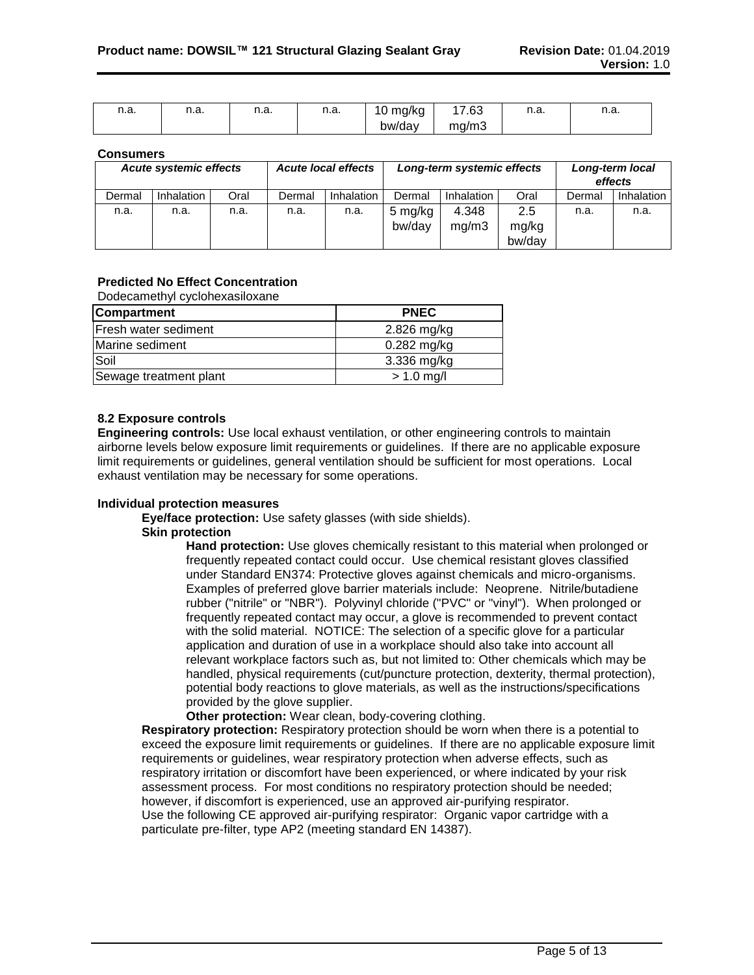| n.a. | 11.a. | n.a. | n n<br>11.d. | 10<br>mg/kg | 7.63  | n n<br>н.а. | n.a. |
|------|-------|------|--------------|-------------|-------|-------------|------|
|      |       |      |              | bw/day      | mq/m3 |             |      |

#### **Consumers**

| <b>Acute local effects</b><br>Acute systemic effects |                   |      | Long-term systemic effects |                   |                   | Long-term local<br>effects |                        |        |            |
|------------------------------------------------------|-------------------|------|----------------------------|-------------------|-------------------|----------------------------|------------------------|--------|------------|
| Dermal                                               | <b>Inhalation</b> | Oral | Dermal                     | <b>Inhalation</b> | Dermal            | Inhalation                 | Oral                   | Dermal | Inhalation |
| n.a.                                                 | n.a.              | n.a. | n.a.                       | n.a.              | 5 mg/kg<br>bw/day | 4.348<br>mg/m3             | 2.5<br>mg/kg<br>bw/day | n.a.   | n.a.       |

### **Predicted No Effect Concentration**

Dodecamethyl cyclohexasiloxane

| <b>Compartment</b>          | <b>PNEC</b>   |
|-----------------------------|---------------|
| <b>Fresh water sediment</b> | 2.826 mg/kg   |
| Marine sediment             | $0.282$ mg/kg |
| Soil                        | 3.336 mg/kg   |
| Sewage treatment plant      | $> 1.0$ mg/l  |

### **8.2 Exposure controls**

**Engineering controls:** Use local exhaust ventilation, or other engineering controls to maintain airborne levels below exposure limit requirements or guidelines. If there are no applicable exposure limit requirements or guidelines, general ventilation should be sufficient for most operations. Local exhaust ventilation may be necessary for some operations.

#### **Individual protection measures**

**Eye/face protection:** Use safety glasses (with side shields).

#### **Skin protection**

**Hand protection:** Use gloves chemically resistant to this material when prolonged or frequently repeated contact could occur. Use chemical resistant gloves classified under Standard EN374: Protective gloves against chemicals and micro-organisms. Examples of preferred glove barrier materials include: Neoprene. Nitrile/butadiene rubber ("nitrile" or "NBR"). Polyvinyl chloride ("PVC" or "vinyl"). When prolonged or frequently repeated contact may occur, a glove is recommended to prevent contact with the solid material. NOTICE: The selection of a specific glove for a particular application and duration of use in a workplace should also take into account all relevant workplace factors such as, but not limited to: Other chemicals which may be handled, physical requirements (cut/puncture protection, dexterity, thermal protection), potential body reactions to glove materials, as well as the instructions/specifications provided by the glove supplier.

**Other protection:** Wear clean, body-covering clothing.

**Respiratory protection:** Respiratory protection should be worn when there is a potential to exceed the exposure limit requirements or guidelines. If there are no applicable exposure limit requirements or guidelines, wear respiratory protection when adverse effects, such as respiratory irritation or discomfort have been experienced, or where indicated by your risk assessment process. For most conditions no respiratory protection should be needed; however, if discomfort is experienced, use an approved air-purifying respirator. Use the following CE approved air-purifying respirator: Organic vapor cartridge with a particulate pre-filter, type AP2 (meeting standard EN 14387).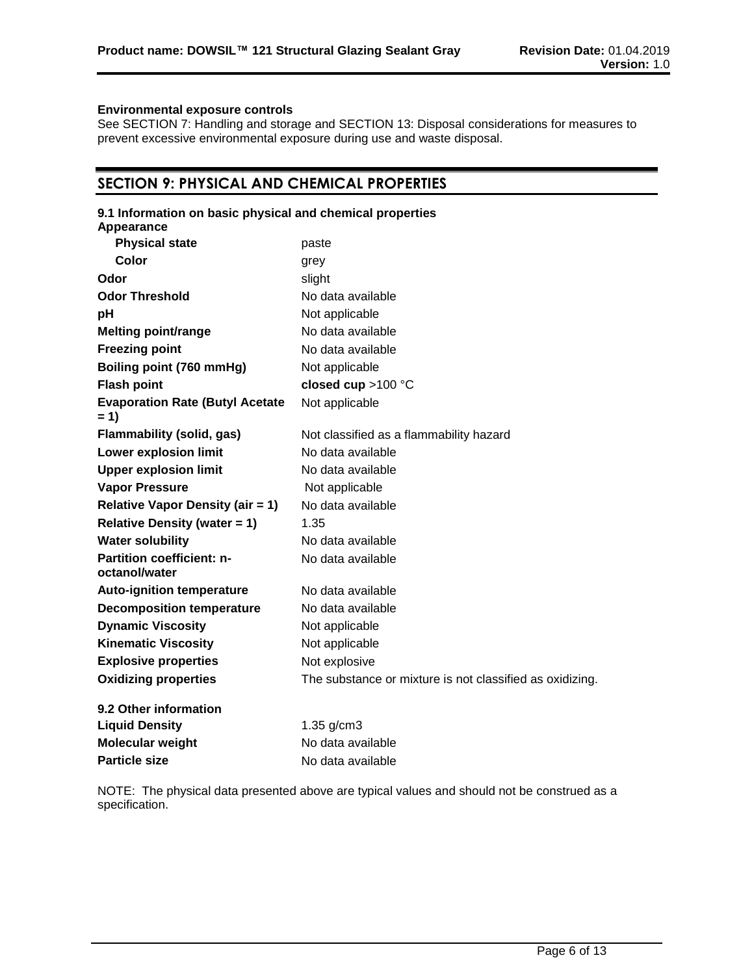### **Environmental exposure controls**

See SECTION 7: Handling and storage and SECTION 13: Disposal considerations for measures to prevent excessive environmental exposure during use and waste disposal.

# **SECTION 9: PHYSICAL AND CHEMICAL PROPERTIES**

| 9.1 Information on basic physical and chemical properties<br>Appearance |                                                          |
|-------------------------------------------------------------------------|----------------------------------------------------------|
| <b>Physical state</b>                                                   | paste                                                    |
| Color                                                                   | grey                                                     |
| Odor                                                                    | slight                                                   |
| <b>Odor Threshold</b>                                                   | No data available                                        |
| pH                                                                      | Not applicable                                           |
| <b>Melting point/range</b>                                              | No data available                                        |
| <b>Freezing point</b>                                                   | No data available                                        |
| Boiling point (760 mmHg)                                                | Not applicable                                           |
| <b>Flash point</b>                                                      | closed cup >100 °C                                       |
| <b>Evaporation Rate (Butyl Acetate</b>                                  | Not applicable                                           |
| $= 1)$                                                                  |                                                          |
| <b>Flammability (solid, gas)</b>                                        | Not classified as a flammability hazard                  |
| <b>Lower explosion limit</b>                                            | No data available                                        |
| <b>Upper explosion limit</b>                                            | No data available                                        |
| <b>Vapor Pressure</b>                                                   | Not applicable                                           |
| <b>Relative Vapor Density (air = 1)</b>                                 | No data available                                        |
| <b>Relative Density (water = 1)</b>                                     | 1.35                                                     |
| <b>Water solubility</b>                                                 | No data available                                        |
| <b>Partition coefficient: n-</b><br>octanol/water                       | No data available                                        |
| <b>Auto-ignition temperature</b>                                        | No data available                                        |
| <b>Decomposition temperature</b>                                        | No data available                                        |
| <b>Dynamic Viscosity</b>                                                | Not applicable                                           |
| <b>Kinematic Viscosity</b>                                              | Not applicable                                           |
| <b>Explosive properties</b>                                             | Not explosive                                            |
| <b>Oxidizing properties</b>                                             | The substance or mixture is not classified as oxidizing. |
| 9.2 Other information                                                   |                                                          |
| <b>Liquid Density</b>                                                   | $1.35$ g/cm $3$                                          |
| Molecular weight                                                        | No data available                                        |
| <b>Particle size</b>                                                    | No data available                                        |

NOTE: The physical data presented above are typical values and should not be construed as a specification.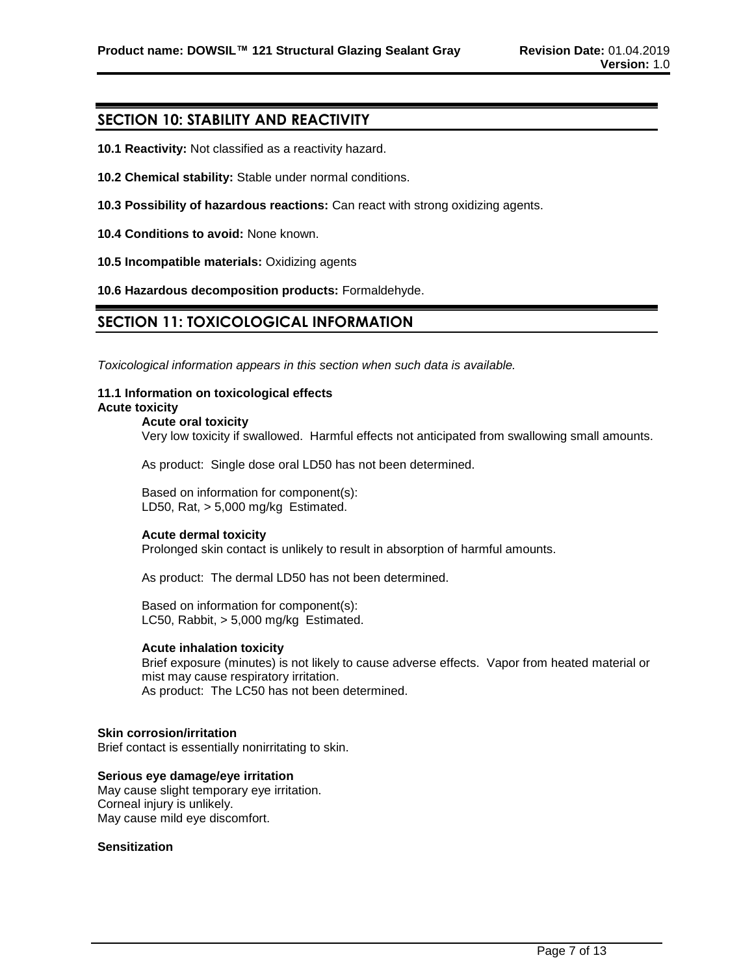# **SECTION 10: STABILITY AND REACTIVITY**

- **10.1 Reactivity:** Not classified as a reactivity hazard.
- **10.2 Chemical stability:** Stable under normal conditions.
- **10.3 Possibility of hazardous reactions:** Can react with strong oxidizing agents.
- **10.4 Conditions to avoid:** None known.
- **10.5 Incompatible materials:** Oxidizing agents

**10.6 Hazardous decomposition products:** Formaldehyde.

# **SECTION 11: TOXICOLOGICAL INFORMATION**

*Toxicological information appears in this section when such data is available.*

#### **11.1 Information on toxicological effects Acute toxicity**

# **Acute oral toxicity**

Very low toxicity if swallowed. Harmful effects not anticipated from swallowing small amounts.

As product: Single dose oral LD50 has not been determined.

Based on information for component(s): LD50, Rat, > 5,000 mg/kg Estimated.

### **Acute dermal toxicity**

Prolonged skin contact is unlikely to result in absorption of harmful amounts.

As product: The dermal LD50 has not been determined.

Based on information for component(s): LC50, Rabbit, > 5,000 mg/kg Estimated.

#### **Acute inhalation toxicity**

Brief exposure (minutes) is not likely to cause adverse effects. Vapor from heated material or mist may cause respiratory irritation. As product: The LC50 has not been determined.

#### **Skin corrosion/irritation**

Brief contact is essentially nonirritating to skin.

**Serious eye damage/eye irritation** May cause slight temporary eye irritation. Corneal injury is unlikely. May cause mild eye discomfort.

#### **Sensitization**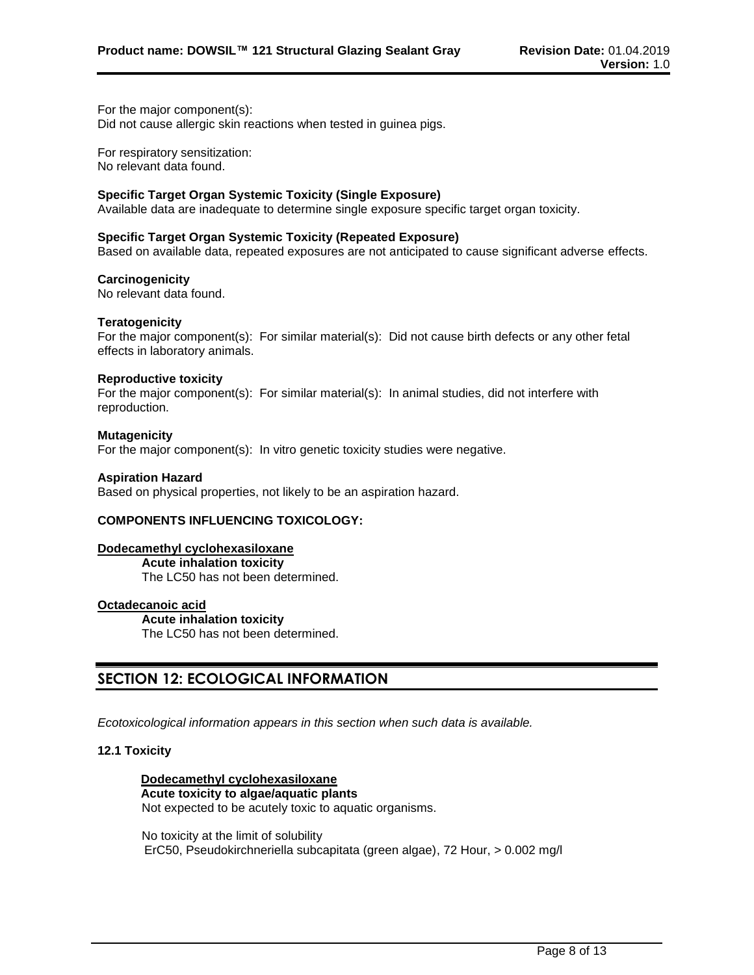For the major component(s): Did not cause allergic skin reactions when tested in guinea pigs.

For respiratory sensitization: No relevant data found.

### **Specific Target Organ Systemic Toxicity (Single Exposure)**

Available data are inadequate to determine single exposure specific target organ toxicity.

#### **Specific Target Organ Systemic Toxicity (Repeated Exposure)**

Based on available data, repeated exposures are not anticipated to cause significant adverse effects.

#### **Carcinogenicity**

No relevant data found.

#### **Teratogenicity**

For the major component(s): For similar material(s): Did not cause birth defects or any other fetal effects in laboratory animals.

#### **Reproductive toxicity**

For the major component(s): For similar material(s): In animal studies, did not interfere with reproduction.

#### **Mutagenicity**

For the major component(s): In vitro genetic toxicity studies were negative.

#### **Aspiration Hazard**

Based on physical properties, not likely to be an aspiration hazard.

### **COMPONENTS INFLUENCING TOXICOLOGY:**

### **Dodecamethyl cyclohexasiloxane**

**Acute inhalation toxicity** The LC50 has not been determined.

# **Octadecanoic acid**

**Acute inhalation toxicity** The LC50 has not been determined.

# **SECTION 12: ECOLOGICAL INFORMATION**

*Ecotoxicological information appears in this section when such data is available.*

### **12.1 Toxicity**

**Dodecamethyl cyclohexasiloxane Acute toxicity to algae/aquatic plants** Not expected to be acutely toxic to aquatic organisms.

No toxicity at the limit of solubility ErC50, Pseudokirchneriella subcapitata (green algae), 72 Hour, > 0.002 mg/l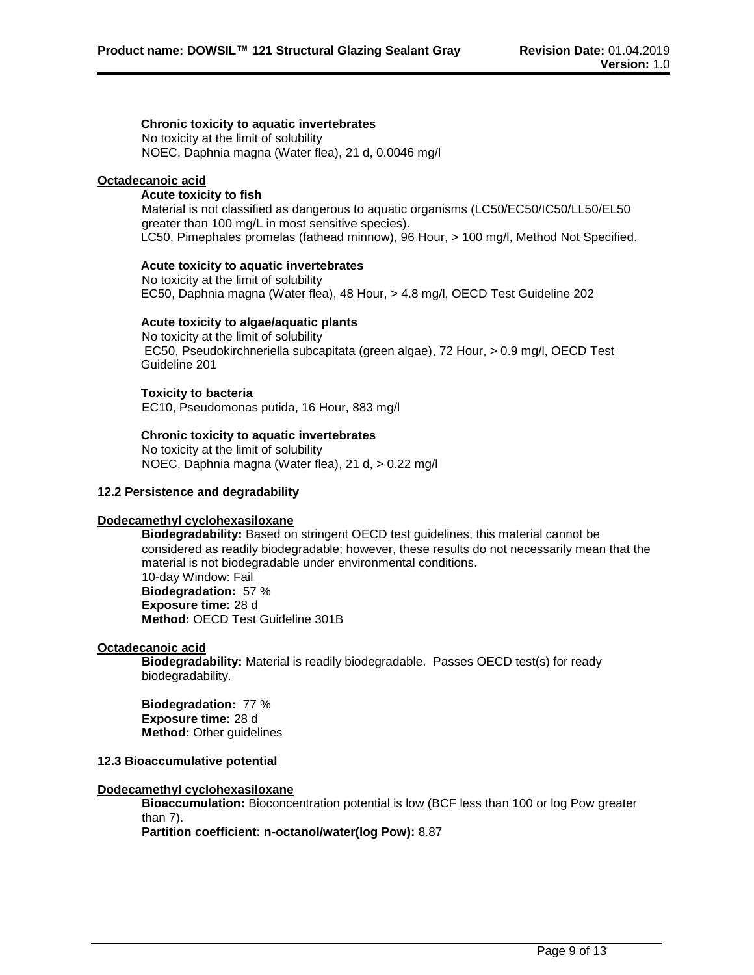**Chronic toxicity to aquatic invertebrates** No toxicity at the limit of solubility NOEC, Daphnia magna (Water flea), 21 d, 0.0046 mg/l

#### **Octadecanoic acid**

#### **Acute toxicity to fish**

Material is not classified as dangerous to aquatic organisms (LC50/EC50/IC50/LL50/EL50 greater than 100 mg/L in most sensitive species). LC50, Pimephales promelas (fathead minnow), 96 Hour, > 100 mg/l, Method Not Specified.

**Acute toxicity to aquatic invertebrates**

No toxicity at the limit of solubility EC50, Daphnia magna (Water flea), 48 Hour, > 4.8 mg/l, OECD Test Guideline 202

#### **Acute toxicity to algae/aquatic plants**

No toxicity at the limit of solubility EC50, Pseudokirchneriella subcapitata (green algae), 72 Hour, > 0.9 mg/l, OECD Test Guideline 201

#### **Toxicity to bacteria**

EC10, Pseudomonas putida, 16 Hour, 883 mg/l

#### **Chronic toxicity to aquatic invertebrates**

No toxicity at the limit of solubility NOEC, Daphnia magna (Water flea), 21 d, > 0.22 mg/l

### **12.2 Persistence and degradability**

### **Dodecamethyl cyclohexasiloxane**

**Biodegradability:** Based on stringent OECD test guidelines, this material cannot be considered as readily biodegradable; however, these results do not necessarily mean that the material is not biodegradable under environmental conditions. 10-day Window: Fail **Biodegradation:** 57 % **Exposure time:** 28 d **Method:** OECD Test Guideline 301B

#### **Octadecanoic acid**

**Biodegradability:** Material is readily biodegradable. Passes OECD test(s) for ready biodegradability.

**Biodegradation:** 77 % **Exposure time:** 28 d **Method:** Other guidelines

#### **12.3 Bioaccumulative potential**

#### **Dodecamethyl cyclohexasiloxane**

**Bioaccumulation:** Bioconcentration potential is low (BCF less than 100 or log Pow greater than 7).

**Partition coefficient: n-octanol/water(log Pow):** 8.87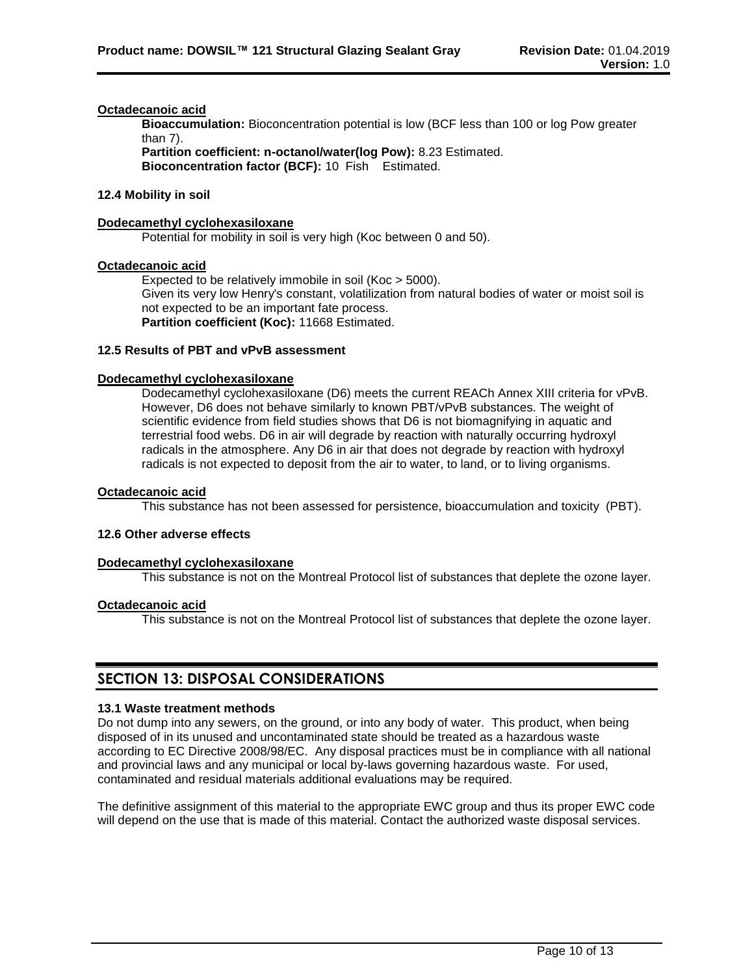#### **Octadecanoic acid**

**Bioaccumulation:** Bioconcentration potential is low (BCF less than 100 or log Pow greater than 7).

**Partition coefficient: n-octanol/water(log Pow):** 8.23 Estimated. **Bioconcentration factor (BCF):** 10 Fish Estimated.

### **12.4 Mobility in soil**

#### **Dodecamethyl cyclohexasiloxane**

Potential for mobility in soil is very high (Koc between 0 and 50).

#### **Octadecanoic acid**

Expected to be relatively immobile in soil (Koc > 5000). Given its very low Henry's constant, volatilization from natural bodies of water or moist soil is not expected to be an important fate process. **Partition coefficient (Koc):** 11668 Estimated.

#### **12.5 Results of PBT and vPvB assessment**

#### **Dodecamethyl cyclohexasiloxane**

Dodecamethyl cyclohexasiloxane (D6) meets the current REACh Annex XIII criteria for vPvB. However, D6 does not behave similarly to known PBT/vPvB substances. The weight of scientific evidence from field studies shows that D6 is not biomagnifying in aquatic and terrestrial food webs. D6 in air will degrade by reaction with naturally occurring hydroxyl radicals in the atmosphere. Any D6 in air that does not degrade by reaction with hydroxyl radicals is not expected to deposit from the air to water, to land, or to living organisms.

#### **Octadecanoic acid**

This substance has not been assessed for persistence, bioaccumulation and toxicity (PBT).

#### **12.6 Other adverse effects**

#### **Dodecamethyl cyclohexasiloxane**

This substance is not on the Montreal Protocol list of substances that deplete the ozone layer.

#### **Octadecanoic acid**

This substance is not on the Montreal Protocol list of substances that deplete the ozone layer.

# **SECTION 13: DISPOSAL CONSIDERATIONS**

#### **13.1 Waste treatment methods**

Do not dump into any sewers, on the ground, or into any body of water. This product, when being disposed of in its unused and uncontaminated state should be treated as a hazardous waste according to EC Directive 2008/98/EC. Any disposal practices must be in compliance with all national and provincial laws and any municipal or local by-laws governing hazardous waste. For used, contaminated and residual materials additional evaluations may be required.

The definitive assignment of this material to the appropriate EWC group and thus its proper EWC code will depend on the use that is made of this material. Contact the authorized waste disposal services.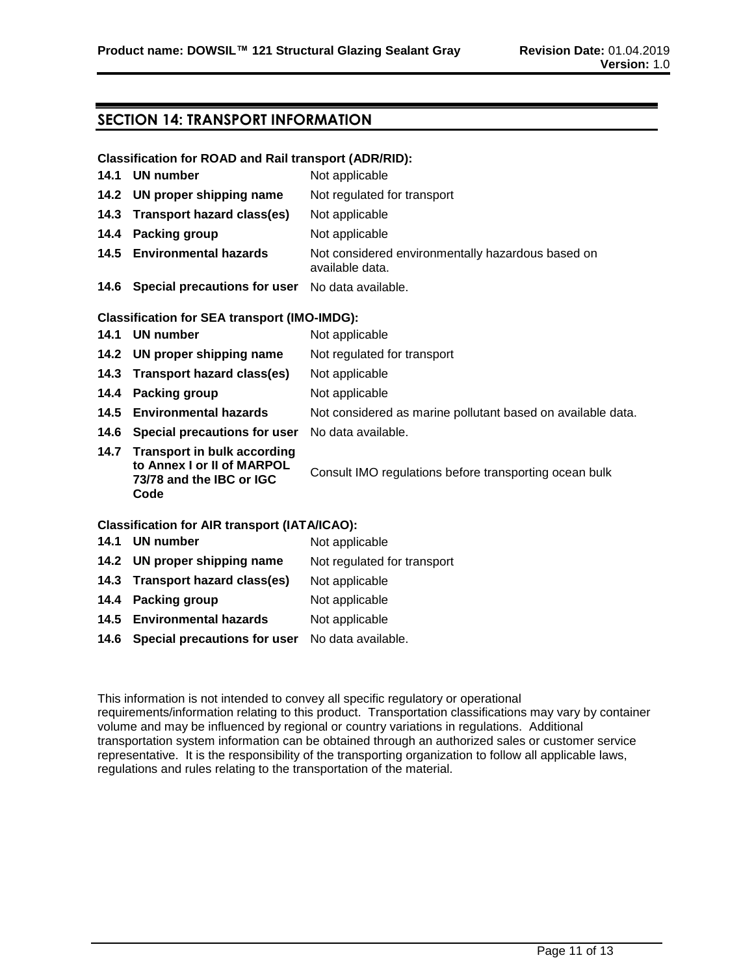# **SECTION 14: TRANSPORT INFORMATION**

#### **Classification for ROAD and Rail transport (ADR/RID):**

| 14.1 | <b>UN number</b>                                                                                   | Not applicable                                                       |
|------|----------------------------------------------------------------------------------------------------|----------------------------------------------------------------------|
|      | 14.2 UN proper shipping name                                                                       | Not regulated for transport                                          |
| 14.3 | <b>Transport hazard class(es)</b>                                                                  | Not applicable                                                       |
| 14.4 | <b>Packing group</b>                                                                               | Not applicable                                                       |
|      | 14.5 Environmental hazards                                                                         | Not considered environmentally hazardous based on<br>available data. |
|      | 14.6 Special precautions for user No data available.                                               |                                                                      |
|      | <b>Classification for SEA transport (IMO-IMDG):</b>                                                |                                                                      |
| 14.1 | <b>UN number</b>                                                                                   | Not applicable                                                       |
|      | 14.2 UN proper shipping name                                                                       | Not regulated for transport                                          |
| 14.3 | Transport hazard class(es)                                                                         | Not applicable                                                       |
| 14.4 | <b>Packing group</b>                                                                               | Not applicable                                                       |
| 14.5 | <b>Environmental hazards</b>                                                                       | Not considered as marine pollutant based on available data.          |
|      | 14.6 Special precautions for user                                                                  | No data available.                                                   |
|      | 14.7 Transport in bulk according<br>to Annex I or II of MARPOL<br>73/78 and the IBC or IGC<br>Code | Consult IMO regulations before transporting ocean bulk               |
|      | <b>Classification for AIR transport (IATA/ICAO):</b>                                               |                                                                      |
|      |                                                                                                    |                                                                      |

# **14.1 UN number** Not applicable **14.2 UN proper shipping name** Not regulated for transport **14.3 Transport hazard class(es)** Not applicable

- **14.4 Packing group** Not applicable
- **14.5 Environmental hazards** Not applicable
- **14.6 Special precautions for user** No data available.

This information is not intended to convey all specific regulatory or operational requirements/information relating to this product. Transportation classifications may vary by container volume and may be influenced by regional or country variations in regulations. Additional transportation system information can be obtained through an authorized sales or customer service representative. It is the responsibility of the transporting organization to follow all applicable laws, regulations and rules relating to the transportation of the material.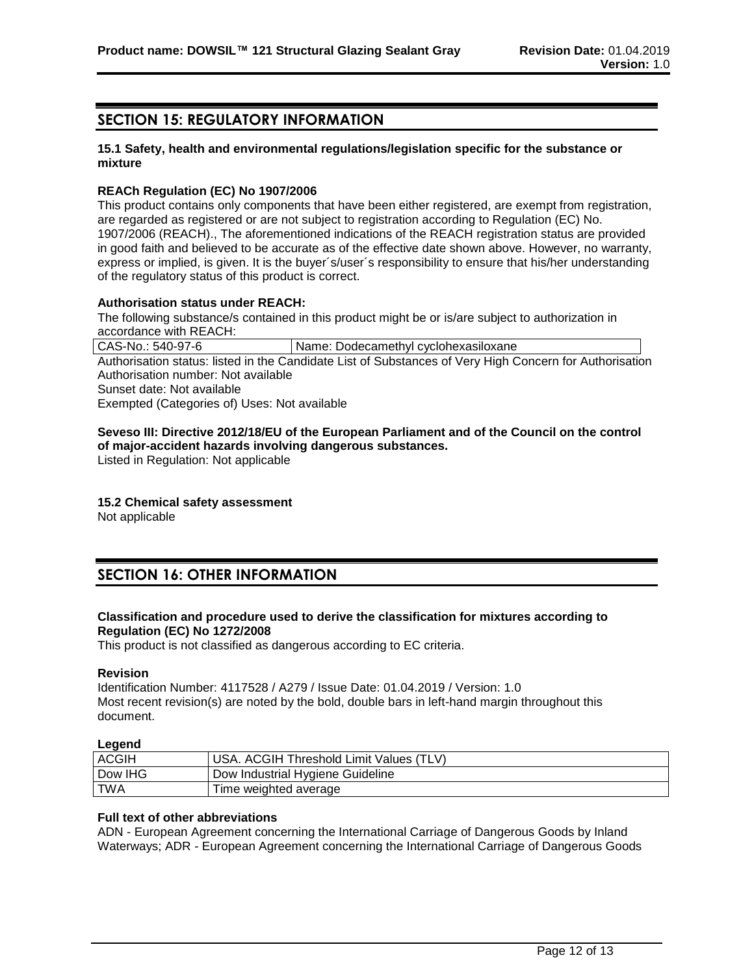# **SECTION 15: REGULATORY INFORMATION**

### **15.1 Safety, health and environmental regulations/legislation specific for the substance or mixture**

#### **REACh Regulation (EC) No 1907/2006**

This product contains only components that have been either registered, are exempt from registration, are regarded as registered or are not subject to registration according to Regulation (EC) No. 1907/2006 (REACH)., The aforementioned indications of the REACH registration status are provided in good faith and believed to be accurate as of the effective date shown above. However, no warranty, express or implied, is given. It is the buyer´s/user´s responsibility to ensure that his/her understanding of the regulatory status of this product is correct.

#### **Authorisation status under REACH:**

The following substance/s contained in this product might be or is/are subject to authorization in accordance with REACH:

CAS-No.: 540-97-6 | Name: Dodecamethyl cyclohexasiloxane Authorisation status: listed in the Candidate List of Substances of Very High Concern for Authorisation Authorisation number: Not available Sunset date: Not available Exempted (Categories of) Uses: Not available

#### **Seveso III: Directive 2012/18/EU of the European Parliament and of the Council on the control of major-accident hazards involving dangerous substances.**

Listed in Regulation: Not applicable

### **15.2 Chemical safety assessment**

Not applicable

# **SECTION 16: OTHER INFORMATION**

### **Classification and procedure used to derive the classification for mixtures according to Regulation (EC) No 1272/2008**

This product is not classified as dangerous according to EC criteria.

#### **Revision**

Identification Number: 4117528 / A279 / Issue Date: 01.04.2019 / Version: 1.0 Most recent revision(s) are noted by the bold, double bars in left-hand margin throughout this document.

#### **Legend**

| <b>ACGIH</b> | USA. ACGIH Threshold Limit Values (TLV) |
|--------------|-----------------------------------------|
| Dow IHG      | Dow Industrial Hygiene Guideline        |
| TWA          | Time weighted average                   |

#### **Full text of other abbreviations**

ADN - European Agreement concerning the International Carriage of Dangerous Goods by Inland Waterways; ADR - European Agreement concerning the International Carriage of Dangerous Goods